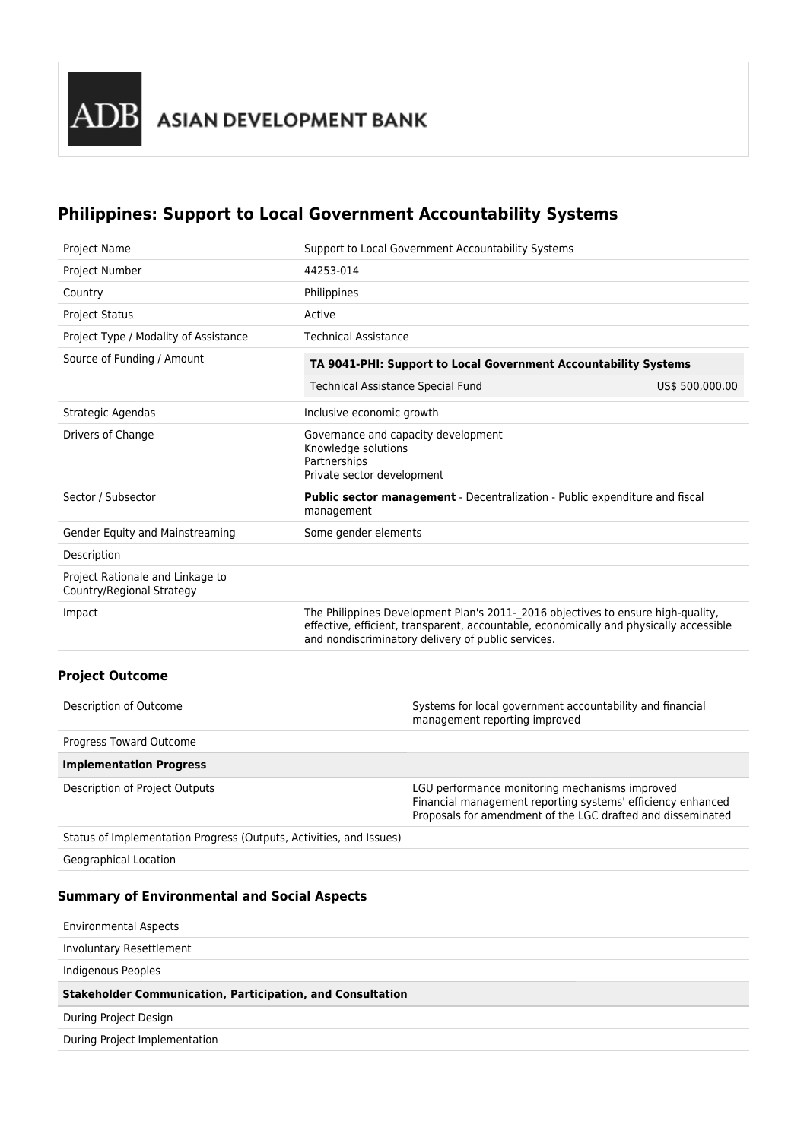# **Philippines: Support to Local Government Accountability Systems**

| <b>Project Name</b>                                           | Support to Local Government Accountability Systems                                                                                                                                                                              |  |  |  |  |
|---------------------------------------------------------------|---------------------------------------------------------------------------------------------------------------------------------------------------------------------------------------------------------------------------------|--|--|--|--|
| Project Number                                                | 44253-014                                                                                                                                                                                                                       |  |  |  |  |
| Country                                                       | Philippines                                                                                                                                                                                                                     |  |  |  |  |
| <b>Project Status</b>                                         | Active                                                                                                                                                                                                                          |  |  |  |  |
| Project Type / Modality of Assistance                         | <b>Technical Assistance</b>                                                                                                                                                                                                     |  |  |  |  |
| Source of Funding / Amount                                    | TA 9041-PHI: Support to Local Government Accountability Systems                                                                                                                                                                 |  |  |  |  |
|                                                               | <b>Technical Assistance Special Fund</b><br>US\$ 500,000.00                                                                                                                                                                     |  |  |  |  |
| Strategic Agendas                                             | Inclusive economic growth                                                                                                                                                                                                       |  |  |  |  |
| Drivers of Change                                             | Governance and capacity development<br>Knowledge solutions<br>Partnerships<br>Private sector development                                                                                                                        |  |  |  |  |
| Sector / Subsector                                            | <b>Public sector management</b> - Decentralization - Public expenditure and fiscal<br>management                                                                                                                                |  |  |  |  |
| Gender Equity and Mainstreaming                               | Some gender elements                                                                                                                                                                                                            |  |  |  |  |
| Description                                                   |                                                                                                                                                                                                                                 |  |  |  |  |
| Project Rationale and Linkage to<br>Country/Regional Strategy |                                                                                                                                                                                                                                 |  |  |  |  |
| Impact                                                        | The Philippines Development Plan's 2011-2016 objectives to ensure high-quality,<br>effective, efficient, transparent, accountable, economically and physically accessible<br>and nondiscriminatory delivery of public services. |  |  |  |  |
| <b>Project Outcome</b>                                        |                                                                                                                                                                                                                                 |  |  |  |  |

| Description of Outcome                                              | Systems for local government accountability and financial<br>management reporting improved                                                                                   |  |  |  |  |
|---------------------------------------------------------------------|------------------------------------------------------------------------------------------------------------------------------------------------------------------------------|--|--|--|--|
| Progress Toward Outcome                                             |                                                                                                                                                                              |  |  |  |  |
| <b>Implementation Progress</b>                                      |                                                                                                                                                                              |  |  |  |  |
| Description of Project Outputs                                      | LGU performance monitoring mechanisms improved<br>Financial management reporting systems' efficiency enhanced<br>Proposals for amendment of the LGC drafted and disseminated |  |  |  |  |
| Status of Implementation Progress (Outputs, Activities, and Issues) |                                                                                                                                                                              |  |  |  |  |
|                                                                     |                                                                                                                                                                              |  |  |  |  |

Geographical Location

## **Summary of Environmental and Social Aspects**

| <b>Environmental Aspects</b>                                      |
|-------------------------------------------------------------------|
| Involuntary Resettlement                                          |
| Indigenous Peoples                                                |
|                                                                   |
| <b>Stakeholder Communication, Participation, and Consultation</b> |
| During Project Design                                             |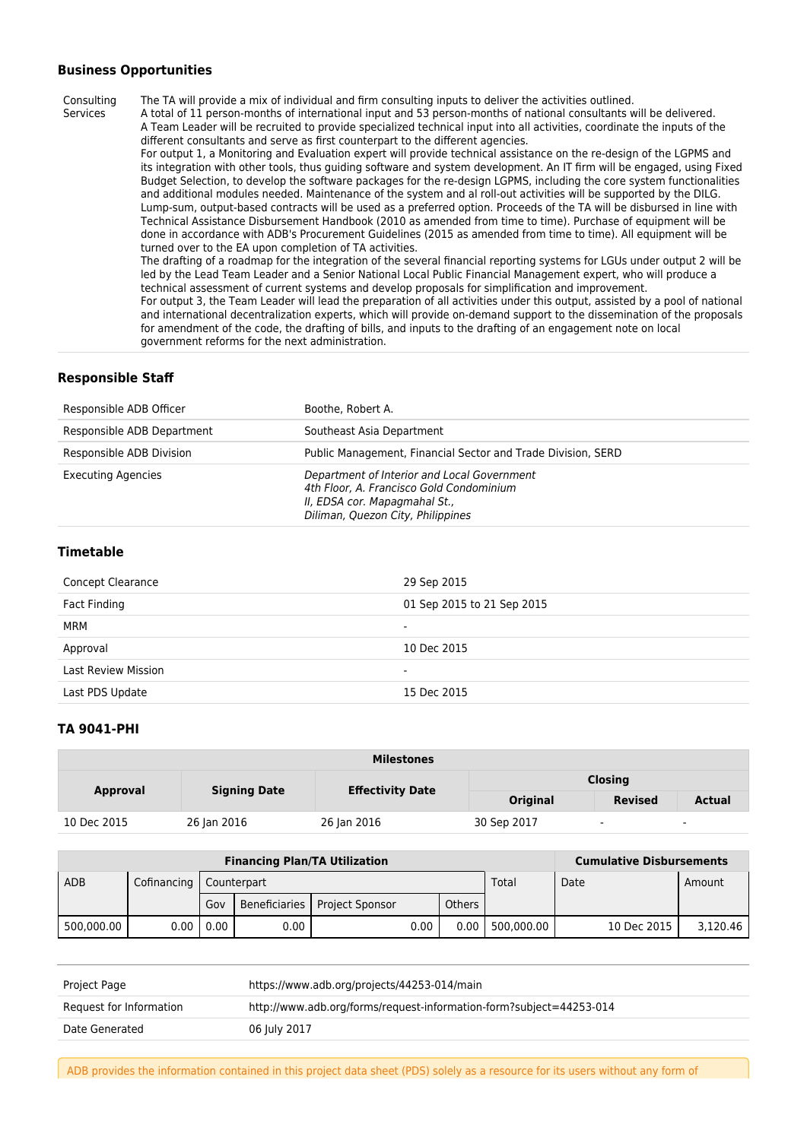## **Business Opportunities**

Services

Consulting The TA will provide a mix of individual and firm consulting inputs to deliver the activities outlined.

A total of 11 person-months of international input and 53 person-months of national consultants will be delivered. A Team Leader will be recruited to provide specialized technical input into all activities, coordinate the inputs of the different consultants and serve as first counterpart to the different agencies.

For output 1, a Monitoring and Evaluation expert will provide technical assistance on the re-design of the LGPMS and its integration with other tools, thus guiding software and system development. An IT firm will be engaged, using Fixed Budget Selection, to develop the software packages for the re-design LGPMS, including the core system functionalities and additional modules needed. Maintenance of the system and al roll-out activities will be supported by the DILG. Lump-sum, output-based contracts will be used as a preferred option. Proceeds of the TA will be disbursed in line with Technical Assistance Disbursement Handbook (2010 as amended from time to time). Purchase of equipment will be done in accordance with ADB's Procurement Guidelines (2015 as amended from time to time). All equipment will be turned over to the EA upon completion of TA activities.

The drafting of a roadmap for the integration of the several financial reporting systems for LGUs under output 2 will be led by the Lead Team Leader and a Senior National Local Public Financial Management expert, who will produce a technical assessment of current systems and develop proposals for simplification and improvement.

For output 3, the Team Leader will lead the preparation of all activities under this output, assisted by a pool of national and international decentralization experts, which will provide on-demand support to the dissemination of the proposals for amendment of the code, the drafting of bills, and inputs to the drafting of an engagement note on local government reforms for the next administration.

## **Responsible Staff**

| Responsible ADB Officer    | Boothe, Robert A.                                                                                                                                             |
|----------------------------|---------------------------------------------------------------------------------------------------------------------------------------------------------------|
| Responsible ADB Department | Southeast Asia Department                                                                                                                                     |
| Responsible ADB Division   | Public Management, Financial Sector and Trade Division, SERD                                                                                                  |
| Executing Agencies         | Department of Interior and Local Government<br>4th Floor, A. Francisco Gold Condominium<br>II, EDSA cor. Mapagmahal St.,<br>Diliman, Quezon City, Philippines |

#### **Timetable**

| Concept Clearance          | 29 Sep 2015                |
|----------------------------|----------------------------|
| Fact Finding               | 01 Sep 2015 to 21 Sep 2015 |
| MRM                        | -                          |
| Approval                   | 10 Dec 2015                |
| <b>Last Review Mission</b> | $\overline{\phantom{a}}$   |
| Last PDS Update            | 15 Dec 2015                |

## **TA 9041-PHI**

| <b>Milestones</b> |                     |                         |                 |                          |                |  |
|-------------------|---------------------|-------------------------|-----------------|--------------------------|----------------|--|
| <b>Approval</b>   | <b>Signing Date</b> | <b>Effectivity Date</b> | <b>Closing</b>  |                          |                |  |
|                   |                     |                         | <b>Original</b> | <b>Revised</b>           | <b>Actual</b>  |  |
| 10 Dec 2015       | 26 Jan 2016         | 26 Jan 2016             | 30 Sep 2017     | $\overline{\phantom{0}}$ | $\blacksquare$ |  |

| <b>Financing Plan/TA Utilization</b> |                           |      |      |                                 |      | <b>Cumulative Disbursements</b> |            |  |             |          |
|--------------------------------------|---------------------------|------|------|---------------------------------|------|---------------------------------|------------|--|-------------|----------|
| <b>ADB</b>                           | Cofinancing   Counterpart |      |      |                                 |      | Total                           | Date       |  | Amount      |          |
|                                      |                           | Gov  |      | Beneficiaries   Project Sponsor |      | <b>Others</b>                   |            |  |             |          |
| 500,000.00                           | 0.00                      | 0.00 | 0.00 |                                 | 0.00 | 0.00                            | 500.000.00 |  | 10 Dec 2015 | 3.120.46 |

| Project Page            | https://www.adb.org/projects/44253-014/main                         |  |
|-------------------------|---------------------------------------------------------------------|--|
| Request for Information | http://www.adb.org/forms/request-information-form?subject=44253-014 |  |
| Date Generated          | 06 July 2017                                                        |  |

ADB provides the information contained in this project data sheet (PDS) solely as a resource for its users without any form of